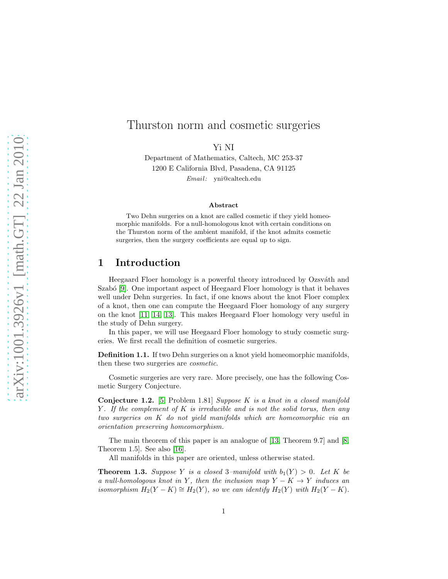# Thurston norm and cosmetic surgeries

Yi NI

Department of Mathematics, Caltech, MC 253-37 1200 E California Blvd, Pasadena, CA 91125 Email: yni@caltech.edu

#### Abstract

Two Dehn surgeries on a knot are called cosmetic if they yield homeomorphic manifolds. For a null-homologous knot with certain conditions on the Thurston norm of the ambient manifold, if the knot admits cosmetic surgeries, then the surgery coefficients are equal up to sign.

### 1 Introduction

Heegaard Floer homology is a powerful theory introduced by Ozsváth and Szabó [\[9\]](#page-12-0). One important aspect of Heegaard Floer homology is that it behaves well under Dehn surgeries. In fact, if one knows about the knot Floer complex of a knot, then one can compute the Heegaard Floer homology of any surgery on the knot [\[11,](#page-12-1) [14,](#page-12-2) [13\]](#page-12-3). This makes Heegaard Floer homology very useful in the study of Dehn surgery.

In this paper, we will use Heegaard Floer homology to study cosmetic surgeries. We first recall the definition of cosmetic surgeries.

Definition 1.1. If two Dehn surgeries on a knot yield homeomorphic manifolds, then these two surgeries are cosmetic.

Cosmetic surgeries are very rare. More precisely, one has the following Cosmetic Surgery Conjecture.

**Conjecture 1.2.** [\[5,](#page-12-4) Problem 1.81] Suppose K is a knot in a closed manifold  $Y$ . If the complement of K is irreducible and is not the solid torus, then any two surgeries on K do not yield manifolds which are homeomorphic via an orientation preserving homeomorphism.

The main theorem of this paper is an analogue of [\[13,](#page-12-3) Theorem 9.7] and [\[8,](#page-12-5) Theorem 1.5]. See also [\[16\]](#page-12-6).

All manifolds in this paper are oriented, unless otherwise stated.

<span id="page-0-0"></span>**Theorem 1.3.** Suppose Y is a closed 3-manifold with  $b_1(Y) > 0$ . Let K be a null-homologous knot in Y, then the inclusion map  $Y - K \rightarrow Y$  induces an isomorphism  $H_2(Y - K) \cong H_2(Y)$ , so we can identify  $H_2(Y)$  with  $H_2(Y - K)$ .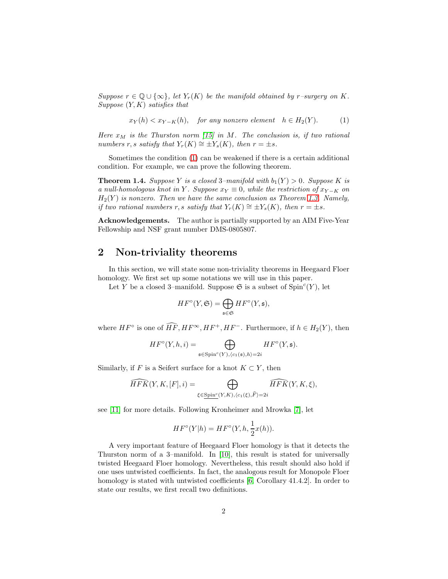Suppose  $r \in \mathbb{Q} \cup \{\infty\}$ , let  $Y_r(K)$  be the manifold obtained by r-surgery on K. Suppose  $(Y, K)$  satisfies that

<span id="page-1-0"></span>
$$
x_Y(h) < x_{Y-K}(h), \quad \text{for any nonzero element} \quad h \in H_2(Y). \tag{1}
$$

Here  $x_M$  is the Thurston norm [\[15\]](#page-12-7) in M. The conclusion is, if two rational numbers r, s satisfy that  $Y_r(K) \cong \pm Y_s(K)$ , then  $r = \pm s$ .

Sometimes the condition [\(1\)](#page-1-0) can be weakened if there is a certain additional condition. For example, we can prove the following theorem.

<span id="page-1-1"></span>**Theorem 1.4.** Suppose Y is a closed 3-manifold with  $b_1(Y) > 0$ . Suppose K is a null-homologous knot in Y. Suppose  $x_Y \equiv 0$ , while the restriction of  $x_{Y-K}$  on  $H_2(Y)$  is nonzero. Then we have the same conclusion as Theorem [1.3.](#page-0-0) Namely, if two rational numbers r, s satisfy that  $Y_r(K) \cong \pm Y_s(K)$ , then  $r = \pm s$ .

Acknowledgements. The author is partially supported by an AIM Five-Year Fellowship and NSF grant number DMS-0805807.

### 2 Non-triviality theorems

In this section, we will state some non-triviality theorems in Heegaard Floer homology. We first set up some notations we will use in this paper.

Let Y be a closed 3-manifold. Suppose  $\mathfrak S$  is a subset of  $\text{Spin}^c(Y)$ , let

$$
HF^{\circ}(Y,\mathfrak{S})=\bigoplus_{\mathfrak{s}\in\mathfrak{S}}HF^{\circ}(Y,\mathfrak{s}),
$$

where  $HF^{\circ}$  is one of  $\widehat{HF}$ ,  $HF^{\infty}$ ,  $HF^+$ ,  $HF^-$ . Furthermore, if  $h \in H_2(Y)$ , then

$$
HF^{\circ}(Y, h, i) = \bigoplus_{\mathfrak{s} \in \mathrm{Spin}^c(Y), \langle c_1(\mathfrak{s}), h \rangle = 2i} HF^{\circ}(Y, \mathfrak{s}).
$$

Similarly, if F is a Seifert surface for a knot  $K \subset Y$ , then

$$
\widehat{HFK}(Y,K,[F],i) = \bigoplus_{\xi \in \underline{\mathrm{Spin}^c}(Y,K), \langle c_1(\xi), \widehat{F} \rangle = 2i} \widehat{HFK}(Y,K,\xi),
$$

see [\[11\]](#page-12-1) for more details. Following Kronheimer and Mrowka [\[7\]](#page-12-8), let

$$
HF^{\circ}(Y|h) = HF^{\circ}(Y, h, \frac{1}{2}x(h)).
$$

A very important feature of Heegaard Floer homology is that it detects the Thurston norm of a 3–manifold. In [\[10\]](#page-12-9), this result is stated for universally twisted Heegaard Floer homology. Nevertheless, this result should also hold if one uses untwisted coefficients. In fact, the analogous result for Monopole Floer homology is stated with untwisted coefficients [\[6,](#page-12-10) Corollary 41.4.2]. In order to state our results, we first recall two definitions.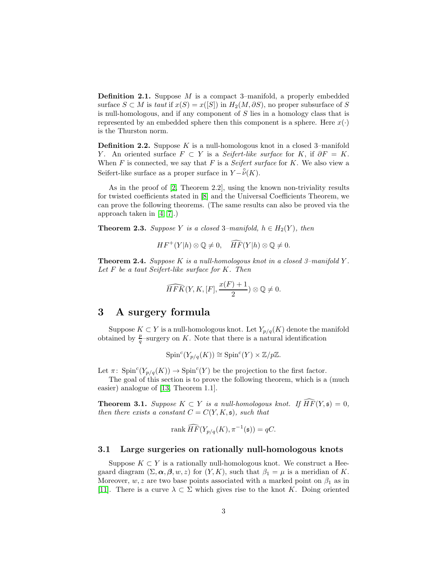**Definition 2.1.** Suppose  $M$  is a compact 3–manifold, a properly embedded surface  $S \subset M$  is taut if  $x(S) = x([S])$  in  $H_2(M, \partial S)$ , no proper subsurface of S is null-homologous, and if any component of S lies in a homology class that is represented by an embedded sphere then this component is a sphere. Here  $x(\cdot)$ is the Thurston norm.

**Definition 2.2.** Suppose K is a null-homologous knot in a closed 3–manifold Y. An oriented surface  $F \subset Y$  is a *Seifert-like surface* for K, if  $\partial F = K$ . When  $F$  is connected, we say that  $F$  is a *Seifert surface* for  $K$ . We also view a Seifert-like surface as a proper surface in  $Y-\overset{\circ}{\nu}(K)$ .

As in the proof of [\[2,](#page-11-0) Theorem 2.2], using the known non-triviality results for twisted coefficients stated in [\[8\]](#page-12-5) and the Universal Coefficients Theorem, we can prove the following theorems. (The same results can also be proved via the approach taken in [\[4,](#page-12-11) [7\]](#page-12-8).)

<span id="page-2-1"></span>**Theorem 2.3.** Suppose Y is a closed 3-manifold,  $h \in H_2(Y)$ , then

$$
HF^+(Y|h) \otimes \mathbb{Q} \neq 0, \quad \widehat{HF}(Y|h) \otimes \mathbb{Q} \neq 0.
$$

**Theorem 2.4.** Suppose K is a null-homologous knot in a closed 3-manifold Y. Let  $F$  be a taut Seifert-like surface for  $K$ . Then

$$
\widehat{HFK}(Y,K,[F],\frac{x(F)+1}{2})\otimes\mathbb{Q}\neq 0.
$$

### 3 A surgery formula

Suppose  $K \subset Y$  is a null-homologous knot. Let  $Y_{p/q}(K)$  denote the manifold obtained by  $\frac{p}{q}$ -surgery on K. Note that there is a natural identification

$$
\operatorname{Spin}^c(Y_{p/q}(K)) \cong \operatorname{Spin}^c(Y) \times \mathbb{Z}/p\mathbb{Z}.
$$

Let  $\pi$ : Spin<sup>c</sup> $(Y_{p/q}(K)) \to \text{Spin}^c(Y)$  be the projection to the first factor.

The goal of this section is to prove the following theorem, which is a (much easier) analogue of [\[13,](#page-12-3) Theorem 1.1].

<span id="page-2-0"></span>**Theorem 3.1.** Suppose  $K \subset Y$  is a null-homologous knot. If  $\widehat{HF}(Y, \mathfrak{s}) = 0$ , then there exists a constant  $C = C(Y, K, \mathfrak{s})$ , such that

$$
\operatorname{rank}\widehat{HF}(Y_{p/q}(K), \pi^{-1}(\mathfrak{s})) = qC.
$$

#### 3.1 Large surgeries on rationally null-homologous knots

Suppose  $K \subset Y$  is a rationally null-homologous knot. We construct a Heegaard diagram  $(\Sigma, \alpha, \beta, w, z)$  for  $(Y, K)$ , such that  $\beta_1 = \mu$  is a meridian of K. Moreover,  $w, z$  are two base points associated with a marked point on  $\beta_1$  as in [\[11\]](#page-12-1). There is a curve  $\lambda \subset \Sigma$  which gives rise to the knot K. Doing oriented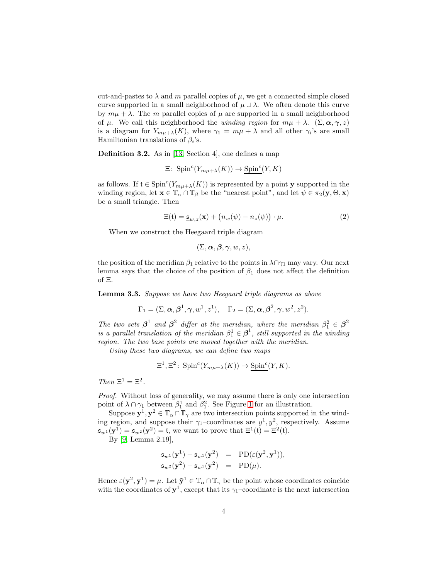cut-and-pastes to  $\lambda$  and m parallel copies of  $\mu$ , we get a connected simple closed curve supported in a small neighborhood of  $\mu \cup \lambda$ . We often denote this curve by  $m\mu + \lambda$ . The m parallel copies of  $\mu$  are supported in a small neighborhood of  $\mu$ . We call this neighborhood the *winding region* for  $m\mu + \lambda$ . ( $\Sigma, \alpha, \gamma, z$ ) is a diagram for  $Y_{m\mu+\lambda}(K)$ , where  $\gamma_1 = m\mu + \lambda$  and all other  $\gamma_i$ 's are small Hamiltonian translations of  $\beta_i$ 's.

<span id="page-3-1"></span>Definition 3.2. As in [\[13,](#page-12-3) Section 4], one defines a map

$$
\Xi\colon \operatorname{Spin}^c(Y_{m\mu+\lambda}(K)) \to \operatorname{Spin}^c(Y,K)
$$

as follows. If  $\mathfrak{t} \in \text{Spin}^c(Y_{m\mu+\lambda}(K))$  is represented by a point y supported in the winding region, let  $\mathbf{x} \in \mathbb{T}_\alpha \cap \mathbb{T}_\beta$  be the "nearest point", and let  $\psi \in \pi_2(\mathbf{y}, \Theta, \mathbf{x})$ be a small triangle. Then

<span id="page-3-0"></span>
$$
\Xi(\mathfrak{t}) = \underline{\mathfrak{s}}_{w,z}(\mathbf{x}) + \big(n_w(\psi) - n_z(\psi)\big) \cdot \mu. \tag{2}
$$

When we construct the Heegaard triple diagram

$$
(\Sigma,\boldsymbol{\alpha},\boldsymbol{\beta},\boldsymbol{\gamma},w,z),
$$

the position of the meridian  $\beta_1$  relative to the points in  $\lambda \cap \gamma_1$  may vary. Our next lemma says that the choice of the position of  $\beta_1$  does not affect the definition of Ξ.

Lemma 3.3. Suppose we have two Heegaard triple diagrams as above

$$
\Gamma_1 = (\Sigma, \alpha, \beta^1, \gamma, w^1, z^1), \quad \Gamma_2 = (\Sigma, \alpha, \beta^2, \gamma, w^2, z^2).
$$

The two sets  $\beta^1$  and  $\beta^2$  differ at the meridian, where the meridian  $\beta_1^2 \in \beta^2$ is a parallel translation of the meridian  $\beta_1^1 \in \beta^1$ , still supported in the winding region. The two base points are moved together with the meridian.

Using these two diagrams, we can define two maps

$$
\Xi^1, \Xi^2 \colon \operatorname{Spin}^c(Y_{m\mu+\lambda}(K)) \to \underline{\operatorname{Spin}^c}(Y, K).
$$

Then  $\Xi^1 = \Xi^2$ .

Proof. Without loss of generality, we may assume there is only one intersection point of  $\lambda \cap \gamma_1$  between  $\beta_1^1$  and  $\beta_1^2$ . See Figure [1](#page-4-0) for an illustration.

Suppose  $y^1, y^2 \in \mathbb{T}_\alpha \cap \mathbb{T}_\gamma$  are two intersection points supported in the winding region, and suppose their  $\gamma_1$ -coordinates are  $y^1, y^2$ , respectively. Assume  $\mathfrak{s}_{w^1}(\mathbf{y}^1) = \mathfrak{s}_{w^2}(\mathbf{y}^2) = \mathfrak{t}$ , we want to prove that  $\Xi^1(\mathfrak{t}) = \Xi^2(\mathfrak{t})$ .

By [\[9,](#page-12-0) Lemma 2.19],

$$
\begin{array}{rcl}\n\mathfrak{s}_{w^1}(\mathbf{y}^1) - \mathfrak{s}_{w^1}(\mathbf{y}^2) & = & \text{PD}(\varepsilon(\mathbf{y}^2, \mathbf{y}^1)), \\
\mathfrak{s}_{w^2}(\mathbf{y}^2) - \mathfrak{s}_{w^1}(\mathbf{y}^2) & = & \text{PD}(\mu).\n\end{array}
$$

Hence  $\varepsilon(\mathbf{y}^2, \mathbf{y}^1) = \mu$ . Let  $\tilde{\mathbf{y}}^1 \in \mathbb{T}_{\alpha} \cap \mathbb{T}_{\gamma}$  be the point whose coordinates coincide with the coordinates of  $y^1$ , except that its  $\gamma_1$ -coordinate is the next intersection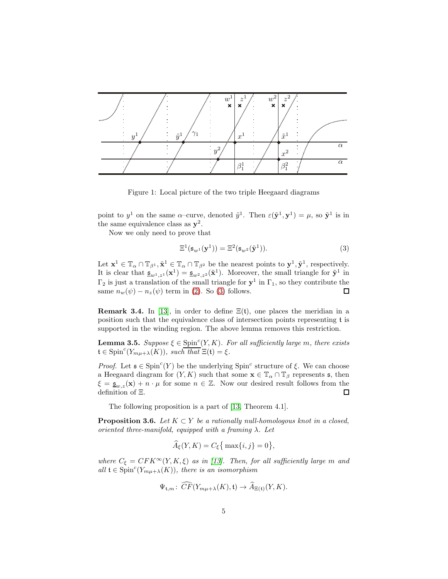

<span id="page-4-0"></span>Figure 1: Local picture of the two triple Heegaard diagrams

point to  $y^1$  on the same  $\alpha$ -curve, denoted  $\tilde{y}^1$ . Then  $\varepsilon(\tilde{\mathbf{y}}^1, \mathbf{y}^1) = \mu$ , so  $\tilde{\mathbf{y}}^1$  is in the same equivalence class as  $y^2$ .

Now we only need to prove that

<span id="page-4-1"></span>
$$
\Xi^1(\mathfrak{s}_{w^1}(\mathbf{y}^1)) = \Xi^2(\mathfrak{s}_{w^2}(\tilde{\mathbf{y}}^1)).
$$
\n(3)

Let  $\mathbf{x}^1 \in \mathbb{T}_{\alpha} \cap \mathbb{T}_{\beta^1}$ ,  $\tilde{\mathbf{x}}^1 \in \mathbb{T}_{\alpha} \cap \mathbb{T}_{\beta^2}$  be the nearest points to  $\mathbf{y}^1, \tilde{\mathbf{y}}^1$ , respectively. It is clear that  $\underline{\mathfrak{s}}_{w^1, z^1}(\mathbf{x}^1) = \underline{\mathfrak{s}}_{w^2, z^2}(\tilde{\mathbf{x}}^1)$ . Moreover, the small triangle for  $\tilde{\mathbf{y}}^1$  in  $\Gamma_2$  is just a translation of the small triangle for  $y^1$  in  $\Gamma_1$ , so they contribute the same  $n_w(\psi) - n_z(\psi)$  term in [\(2\)](#page-3-0). So [\(3\)](#page-4-1) follows. 口

**Remark 3.4.** In [\[13\]](#page-12-3), in order to define  $\Xi(t)$ , one places the meridian in a position such that the equivalence class of intersection points representing t is supported in the winding region. The above lemma removes this restriction.

<span id="page-4-3"></span>**Lemma 3.5.** Suppose  $\xi \in \text{Spin}^c(Y, K)$ . For all sufficiently large m, there exists  $\mathfrak{t} \in \text{Spin}^c(Y_{m\mu+\lambda}(K)), \text{ such that } \Xi(\mathfrak{t}) = \xi.$ 

Proof. Let  $\mathfrak{s} \in \text{Spin}^c(Y)$  be the underlying  $\text{Spin}^c$  structure of  $\xi$ . We can choose a Heegaard diagram for  $(Y, K)$  such that some  $\mathbf{x} \in \mathbb{T}_{\alpha} \cap \mathbb{T}_{\beta}$  represents  $\mathfrak{s}$ , then  $\xi = \underline{\mathfrak{s}}_{w,z}(\mathbf{x}) + n \cdot \mu$  for some  $n \in \mathbb{Z}$ . Now our desired result follows from the definition of Ξ.  $\Box$ 

The following proposition is a part of [\[13,](#page-12-3) Theorem 4.1].

<span id="page-4-2"></span>**Proposition 3.6.** Let  $K \subset Y$  be a rationally null-homologous knot in a closed, oriented three-manifold, equipped with a framing  $\lambda$ . Let

$$
\widehat{A}_{\xi}(Y,K) = C_{\xi} \{ \max\{i,j\} = 0 \},\
$$

where  $C_{\xi} = CFK^{\infty}(Y, K, \xi)$  as in [\[13\]](#page-12-3). Then, for all sufficiently large m and all  $\mathfrak{t} \in \text{Spin}^c(Y_{m\mu+\lambda}(K))$ , there is an isomorphism

$$
\Psi_{\mathfrak{t},m}\colon \widehat{CF}(Y_{m\mu+\lambda}(K),\mathfrak{t})\to \widehat{A}_{\Xi(\mathfrak{t})}(Y,K).
$$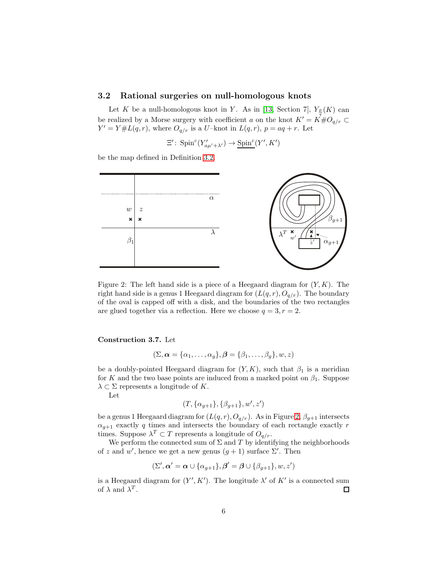#### 3.2 Rational surgeries on null-homologous knots

Let K be a null-homologous knot in Y. As in [\[13,](#page-12-3) Section 7],  $Y_{\frac{p}{q}}(K)$  can be realized by a Morse surgery with coefficient a on the knot  $K' = K#O_{q/r} \subset$  $Y' = Y \# L(q, r)$ , where  $O_{q/r}$  is a U-knot in  $L(q, r)$ ,  $p = aq + r$ . Let

$$
\Xi' \colon \operatorname{Spin}^c(Y'_{a\mu'+\lambda'}) \to \underline{\operatorname{Spin}^c}(Y',K')
$$

be the map defined in Definition [3.2.](#page-3-1)



<span id="page-5-0"></span>Figure 2: The left hand side is a piece of a Heegaard diagram for  $(Y, K)$ . The right hand side is a genus 1 Heegaard diagram for  $(L(q, r), O_{q/r})$ . The boundary of the oval is capped off with a disk, and the boundaries of the two rectangles are glued together via a reflection. Here we choose  $q = 3, r = 2$ .

<span id="page-5-1"></span>Construction 3.7. Let

$$
(\Sigma, \boldsymbol{\alpha} = {\alpha_1, \ldots, \alpha_g}, \boldsymbol{\beta} = {\beta_1, \ldots, \beta_g}, w, z)
$$

be a doubly-pointed Heegaard diagram for  $(Y, K)$ , such that  $\beta_1$  is a meridian for K and the two base points are induced from a marked point on  $\beta_1$ . Suppose  $\lambda \subset \Sigma$  represents a longitude of K.

Let

$$
(T, {\alpha_{g+1}}, {\beta_{g+1}}, w', z')
$$

be a genus 1 Heegaard diagram for  $(L(q, r), O_{q/r})$ . As in Figure [2,](#page-5-0)  $\beta_{q+1}$  intersects  $\alpha_{g+1}$  exactly q times and intersects the boundary of each rectangle exactly r times. Suppose  $\lambda^T \subset T$  represents a longitude of  $O_{q/r}$ .

We perform the connected sum of  $\Sigma$  and  $T$  by identifying the neighborhoods of z and w', hence we get a new genus  $(g + 1)$  surface  $\Sigma'$ . Then

$$
(\Sigma', \alpha' = \alpha \cup \{\alpha_{g+1}\}, \beta' = \beta \cup \{\beta_{g+1}\}, w, z')
$$

is a Heegaard diagram for  $(Y', K')$ . The longitude  $\lambda'$  of  $K'$  is a connected sum of  $\lambda$  and  $\lambda^T$ .  $\Box$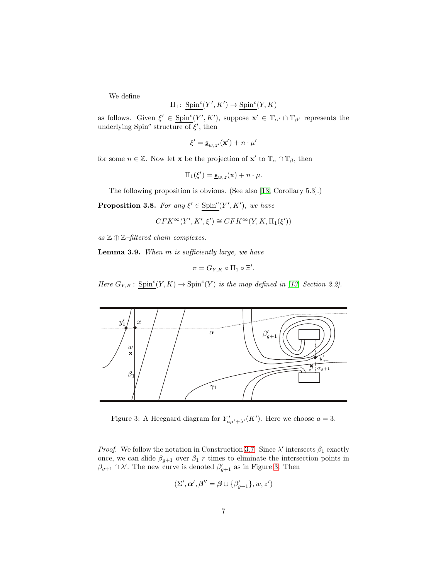We define

$$
\Pi_1\colon \operatorname{Spin}^c(Y',K')\to \operatorname{Spin}^c(Y,K)
$$

as follows. Given  $\xi' \in \text{Spin}^c(Y', K')$ , suppose  $\mathbf{x}' \in \mathbb{T}_{\alpha'} \cap \mathbb{T}_{\beta'}$  represents the underlying  $Spin<sup>c</sup>$  structure of  $\xi'$ , then

$$
\xi' = \underline{\mathfrak{s}}_{w,z'}(\mathbf{x}') + n \cdot \mu'
$$

for some  $n \in \mathbb{Z}$ . Now let **x** be the projection of **x'** to  $\mathbb{T}_{\alpha} \cap \mathbb{T}_{\beta}$ , then

$$
\Pi_1(\xi') = \underline{\mathfrak{s}}_{w,z}(\mathbf{x}) + n \cdot \mu.
$$

The following proposition is obvious. (See also [\[13,](#page-12-3) Corollary 5.3].)

<span id="page-6-1"></span>**Proposition 3.8.** For any  $\xi' \in \text{Spin}^c(Y', K')$ , we have

$$
CFK^{\infty}(Y', K', \xi') \cong CFK^{\infty}(Y, K, \Pi_1(\xi'))
$$

as  $\mathbb{Z} \oplus \mathbb{Z}$ -filtered chain complexes.

<span id="page-6-2"></span>Lemma 3.9. When m is sufficiently large, we have

$$
\pi = G_{Y,K} \circ \Pi_1 \circ \Xi'.
$$

Here  $G_{Y,K}$ :  $\text{Spin}^c(Y,K) \to \text{Spin}^c(Y)$  is the map defined in [\[13,](#page-12-3) Section 2.2].



<span id="page-6-0"></span>Figure 3: A Heegaard diagram for  $Y'_{a\mu' + \lambda'}(K')$ . Here we choose  $a = 3$ .

*Proof.* We follow the notation in Construction [3.7.](#page-5-1) Since  $\lambda'$  intersects  $\beta_1$  exactly once, we can slide  $\beta_{q+1}$  over  $\beta_1$  r times to eliminate the intersection points in  $\beta_{g+1} \cap \lambda'$ . The new curve is denoted  $\beta'_{g+1}$  as in Figure [3.](#page-6-0) Then

$$
(\Sigma',\pmb{\alpha}',\pmb{\beta}''=\pmb{\beta}\cup\{\beta'_{g+1}\},w,z')
$$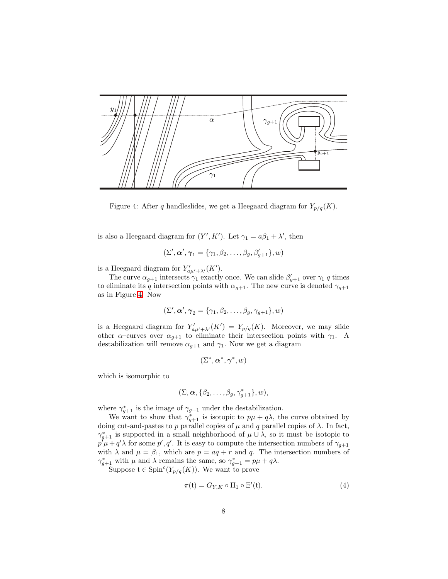

<span id="page-7-0"></span>Figure 4: After q handleslides, we get a Heegaard diagram for  $Y_{p/q}(K)$ .

is also a Heegaard diagram for  $(Y', K')$ . Let  $\gamma_1 = a\beta_1 + \lambda'$ , then

$$
(\Sigma', \boldsymbol{\alpha}', \boldsymbol{\gamma}_1 = \{\gamma_1, \beta_2, \dots, \beta_g, \beta'_{g+1}\}, w)
$$

is a Heegaard diagram for  $Y'_{a\mu' + \lambda'}(K')$ .

The curve  $\alpha_{g+1}$  intersects  $\gamma_1$  exactly once. We can slide  $\beta'_{g+1}$  over  $\gamma_1$  q times to eliminate its q intersection points with  $\alpha_{g+1}$ . The new curve is denoted  $\gamma_{g+1}$ as in Figure [4.](#page-7-0) Now

$$
(\Sigma', \boldsymbol{\alpha}', \boldsymbol{\gamma}_2 = \{\gamma_1, \beta_2, \dots, \beta_g, \gamma_{g+1}\}, w)
$$

is a Heegaard diagram for  $Y'_{a\mu'+\lambda'}(K') = Y_{p/q}(K)$ . Moreover, we may slide other  $\alpha$ –curves over  $\alpha_{g+1}$  to eliminate their intersection points with  $\gamma_1$ . A destabilization will remove  $\alpha_{g+1}$  and  $\gamma_1$ . Now we get a diagram

$$
(\Sigma^*,\boldsymbol{\alpha}^*,\boldsymbol{\gamma}^*,w)
$$

which is isomorphic to

$$
(\Sigma,\boldsymbol{\alpha},\{\beta_2,\ldots,\beta_g,\gamma_{g+1}^*\},w),
$$

where  $\gamma_{g+1}^*$  is the image of  $\gamma_{g+1}$  under the destabilization.

We want to show that  $\gamma_{g+1}^*$  is isotopic to  $p\mu + q\lambda$ , the curve obtained by doing cut-and-pastes to p parallel copies of  $\mu$  and q parallel copies of  $\lambda$ . In fact,  $\gamma_{g+1}^*$  is supported in a small neighborhood of  $\mu \cup \lambda$ , so it must be isotopic to  $p^7\mu + q^7\lambda$  for some  $p^{\prime}, q^{\prime}$ . It is easy to compute the intersection numbers of  $\gamma_{g+1}$ with  $\lambda$  and  $\mu = \beta_1$ , which are  $p = aq + r$  and q. The intersection numbers of  $\gamma_{g+1}^*$  with  $\mu$  and  $\lambda$  remains the same, so  $\gamma_{g+1}^* = p\mu + q\lambda$ .

Suppose  $\mathfrak{t} \in \text{Spin}^c(Y_{p/q}(K))$ . We want to prove

<span id="page-7-1"></span>
$$
\pi(\mathfrak{t}) = G_{Y,K} \circ \Pi_1 \circ \Xi'(\mathfrak{t}).\tag{4}
$$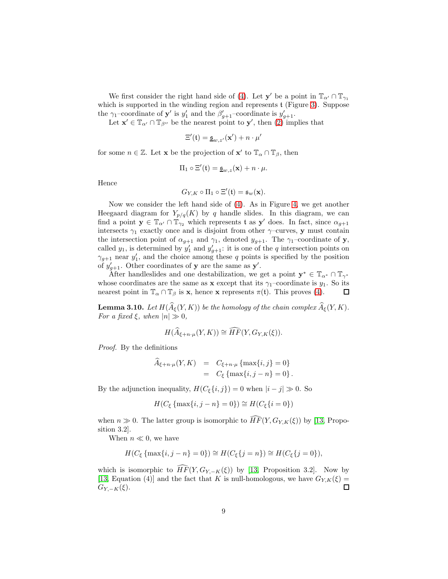We first consider the right hand side of [\(4\)](#page-7-1). Let  $\mathbf{y}'$  be a point in  $\mathbb{T}_{\alpha'} \cap \mathbb{T}_{\gamma_1}$ which is supported in the winding region and represents  $\mathfrak t$  (Figure [3\)](#page-6-0). Suppose the  $\gamma_1$ -coordinate of **y'** is  $y'_1$  and the  $\beta'_{g+1}$ -coordinate is  $y'_{g+1}$ .

Let  $\mathbf{x}' \in \mathbb{T}_{\alpha'} \cap \mathbb{T}_{\beta''}$  be the nearest point to  $\mathbf{y}'$ , then  $(2)$  implies that

$$
\Xi'(\mathfrak{t}) = \underline{\mathfrak{s}}_{w,z'}(\mathbf{x}') + n \cdot \mu'
$$

for some  $n \in \mathbb{Z}$ . Let **x** be the projection of **x'** to  $\mathbb{T}_{\alpha} \cap \mathbb{T}_{\beta}$ , then

$$
\Pi_1 \circ \Xi'(\mathfrak{t}) = \underline{\mathfrak{s}}_{w,z}(\mathbf{x}) + n \cdot \mu.
$$

Hence

$$
G_{Y,K}\circ\Pi_1\circ\Xi'(\mathfrak{t})=\mathfrak{s}_w(\mathbf{x}).
$$

Now we consider the left hand side of  $(4)$ . As in Figure [4,](#page-7-0) we get another Heegaard diagram for  $Y_{p/q}(K)$  by q handle slides. In this diagram, we can find a point  $y \in \mathbb{T}_{\alpha'} \cap \mathbb{T}_{\gamma_2}$  which represents t as y' does. In fact, since  $\alpha_{g+1}$ intersects  $\gamma_1$  exactly once and is disjoint from other  $\gamma$ –curves, y must contain the intersection point of  $\alpha_{g+1}$  and  $\gamma_1$ , denoted  $y_{g+1}$ . The  $\gamma_1$ -coordinate of **y**, called  $y_1$ , is determined by  $y'_1$  and  $y'_{g+1}$ : it is one of the q intersection points on  $\gamma_{g+1}$  near  $y'_1$ , and the choice among these q points is specified by the position of  $y'_{g+1}$ . Other coordinates of **y** are the same as **y'**.

After handleslides and one destabilization, we get a point  $\mathbf{y}^* \in \mathbb{T}_{\alpha^*} \cap \mathbb{T}_{\gamma^*}$ whose coordinates are the same as x except that its  $\gamma_1$ –coordinate is  $y_1$ . So its nearest point in  $\mathbb{T}_{\alpha} \cap \mathbb{T}_{\beta}$  is **x**, hence **x** represents  $\pi(\mathfrak{t})$ . This proves [\(4\)](#page-7-1).  $\Box$ 

<span id="page-8-0"></span>**Lemma 3.10.** Let  $H(\widehat{A}_{\xi}(Y, K))$  be the homology of the chain complex  $\widehat{A}_{\xi}(Y, K)$ . For a fixed  $\xi$ , when  $|n| \gg 0$ ,

$$
H(\widehat{A}_{\xi+n\cdot\mu}(Y,K)) \cong \widehat{HF}(Y,G_{Y,K}(\xi)).
$$

Proof. By the definitions

$$
A_{\xi+n\cdot\mu}(Y,K) = C_{\xi+n\cdot\mu} \{\max\{i,j\} = 0\}
$$
  
=  $C_{\xi} \{\max\{i,j-n\} = 0\}.$ 

By the adjunction inequality,  $H(C_{\xi}\{i, j\}) = 0$  when  $|i - j| \gg 0$ . So

$$
H(C_{\xi} \{ \max\{i, j-n\} = 0 \}) \cong H(C_{\xi} \{ i = 0 \})
$$

when  $n \gg 0$ . The latter group is isomorphic to  $\widehat{HF}(Y, G_{Y,K}(\xi))$  by [\[13,](#page-12-3) Proposition 3.2].

When  $n \ll 0$ , we have

$$
H(C_{\xi} \{ \max\{i, j-n\} = 0 \}) \cong H(C_{\xi} \{ j=n\}) \cong H(C_{\xi} \{ j=0 \}),
$$

which is isomorphic to  $\widehat{HF}(Y, G_{Y, -K}(\xi))$  by [\[13,](#page-12-3) Proposition 3.2]. Now by [\[13,](#page-12-3) Equation (4)] and the fact that K is null-homologous, we have  $G_{Y,K}(\xi) =$  $G_{Y,-K}(\xi)$ . 口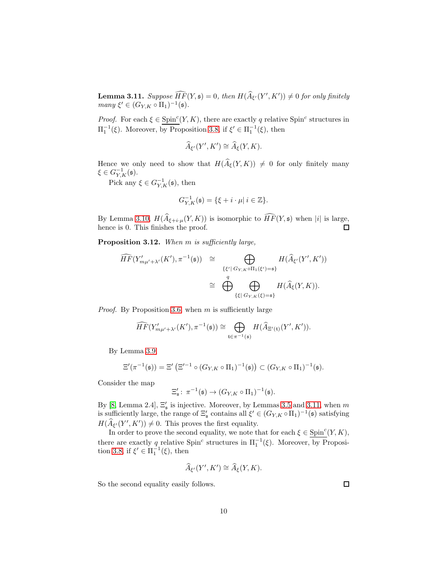<span id="page-9-0"></span>**Lemma 3.11.** Suppose  $\widehat{HF}(Y, \mathfrak{s}) = 0$ , then  $H(\widehat{A}_{\xi'}(Y', K')) \neq 0$  for only finitely many  $\xi' \in (G_{Y,K} \circ \Pi_1)^{-1}(\mathfrak{s}).$ 

*Proof.* For each  $\xi \in \text{Spin}^c(Y, K)$ , there are exactly q relative Spin<sup>c</sup> structures in  $\Pi_1^{-1}(\xi)$ . Moreover, by Proposition [3.8,](#page-6-1) if  $\xi' \in \Pi_1^{-1}(\xi)$ , then

$$
\widehat{A}_{\xi'}(Y', K') \cong \widehat{A}_{\xi}(Y, K).
$$

Hence we only need to show that  $H(\widehat{A}_\xi(Y, K)) \neq 0$  for only finitely many  $\xi \in G^{-1}_{Y,K}(\mathfrak{s}).$ 

Pick any  $\xi \in G^{-1}_{Y,K}(\mathfrak{s})$ , then

$$
G_{Y,K}^{-1}(\mathfrak{s}) = \{ \xi + i \cdot \mu | \ i \in \mathbb{Z} \}.
$$

By Lemma [3.10,](#page-8-0)  $H(\widehat{A}_{\xi+i\cdot\mu}(Y,K))$  is isomorphic to  $\widehat{HF}(Y,\mathfrak{s})$  when  $|i|$  is large, hence is 0. This finishes the proof. hence is 0. This finishes the proof.

<span id="page-9-1"></span>Proposition 3.12. When m is sufficiently large,

$$
\widehat{HF}(Y'_{m\mu'+\lambda'}(K'),\pi^{-1}(\mathfrak{s})) \cong \bigoplus_{\{\xi' \mid G_{Y,K} \circ \Pi_1(\xi') = \mathfrak{s}\}} H(\widehat{A}_{\xi'}(Y',K'))
$$

$$
\cong \bigoplus_{\{\xi \mid G_{Y,K}(\xi) = \mathfrak{s}\}} H(\widehat{A}_{\xi}(Y,K)).
$$

*Proof.* By Proposition [3.6,](#page-4-2) when  $m$  is sufficiently large

$$
\widehat{HF}(Y'_{m\mu'+\lambda'}(K'),\pi^{-1}(\mathfrak{s}))\cong\bigoplus_{\mathfrak{t}\in\pi^{-1}(\mathfrak{s})}H(\widehat{A}_{\Xi'(\mathfrak{t})}(Y',K')).
$$

By Lemma [3.9,](#page-6-2)

$$
\Xi'(\pi^{-1}(\mathfrak{s})) = \Xi'(\Xi'^{-1} \circ (G_{Y,K} \circ \Pi_1)^{-1}(\mathfrak{s})) \subset (G_{Y,K} \circ \Pi_1)^{-1}(\mathfrak{s}).
$$

Consider the map

$$
\Xi'_{\mathfrak{s}}\colon\thinspace\pi^{-1}(\mathfrak{s})\to (G_{Y,K}\circ\Pi_1)^{-1}(\mathfrak{s}).
$$

By [\[8,](#page-12-5) Lemma 2.4],  $\Xi'_{s}$  is injective. Moreover, by Lemmas [3.5](#page-4-3) and [3.11,](#page-9-0) when m is sufficiently large, the range of  $\Xi'_\mathfrak{s}$  contains all  $\xi' \in (G_{Y,K} \circ \Pi_1)^{-1}(\mathfrak{s})$  satisfying  $H(\widehat{A}_{\xi'}(Y', K')) \neq 0$ . This proves the first equality.

In order to prove the second equality, we note that for each  $\xi \in \text{Spin}^c(Y, K)$ , there are exactly q relative Spin<sup>c</sup> structures in  $\Pi_1^{-1}(\xi)$ . Moreover, by Proposi-tion [3.8,](#page-6-1) if  $\xi' \in \Pi_1^{-1}(\xi)$ , then

$$
\widehat{A}_{\xi'}(Y', K') \cong \widehat{A}_{\xi}(Y, K).
$$

So the second equality easily follows.

 $\Box$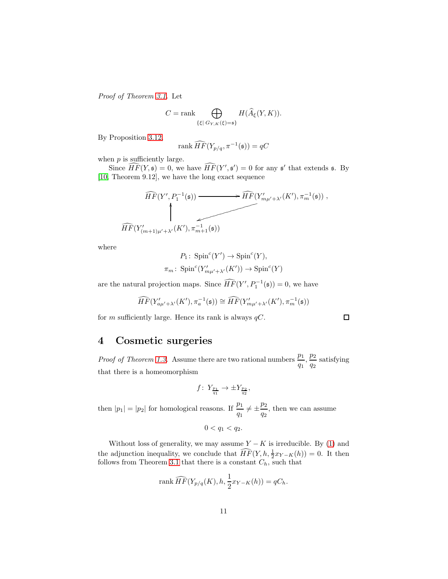Proof of Theorem [3.1.](#page-2-0) Let

$$
C = \text{rank} \bigoplus_{\{\xi \mid \, G_{Y,\,K}(\xi) = \mathfrak{s}\}} H(\widehat{A}_{\xi}(Y,K)).
$$

By Proposition [3.12,](#page-9-1)

$$
\operatorname{rank}\widehat{HF}(Y_{p/q}, \pi^{-1}(\mathfrak{s})) = qC
$$

when  $p$  is sufficiently large.

Since  $\widehat{HF}(Y, \mathfrak{s}) = 0$ , we have  $\widehat{HF}(Y', \mathfrak{s}') = 0$  for any  $\mathfrak{s}'$  that extends  $\mathfrak{s}$ . By [\[10,](#page-12-9) Theorem 9.12], we have the long exact sequence



where

$$
P_1: \operatorname{Spin}^c(Y') \to \operatorname{Spin}^c(Y),
$$
  

$$
\pi_m: \operatorname{Spin}^c(Y'_{m\mu' + \lambda'}(K')) \to \operatorname{Spin}^c(Y)
$$

are the natural projection maps. Since  $\widehat{HF}(Y', P_1^{-1}(\mathfrak{s})) = 0$ , we have

$$
\widehat{HF}(Y'_{a\mu'+\lambda'}(K'), \pi_a^{-1}(\mathfrak{s})) \cong \widehat{HF}(Y'_{m\mu'+\lambda'}(K'), \pi_m^{-1}(\mathfrak{s}))
$$

for m sufficiently large. Hence its rank is always  $qC$ .

## 4 Cosmetic surgeries

*Proof of Theorem [1.3.](#page-0-0)* Assume there are two rational numbers  $\frac{p_1}{q_1}$ ,  $\frac{p_2}{q_2}$  $\frac{r_2}{q_2}$  satisfying that there is a homeomorphism

$$
f: Y_{\frac{p_1}{q_1}} \to \pm Y_{\frac{p_2}{q_2}},
$$

then  $|p_1| = |p_2|$  for homological reasons. If  $\frac{p_1}{q_1} \neq \pm \frac{p_2}{q_2}$  $\frac{P^2}{q_2}$ , then we can assume

$$
0
$$

Without loss of generality, we may assume  $Y - K$  is irreducible. By [\(1\)](#page-1-0) and the adjunction inequality, we conclude that  $\widehat{HF}(Y, h, \frac{1}{2}x_{Y-K}(h)) = 0$ . It then follows from Theorem [3.1](#page-2-0) that there is a constant  $C_h$ , such that

$$
\operatorname{rank}\widehat{HF}(Y_{p/q}(K), h, \frac{1}{2}x_{Y-K}(h)) = qC_h.
$$

 $\Box$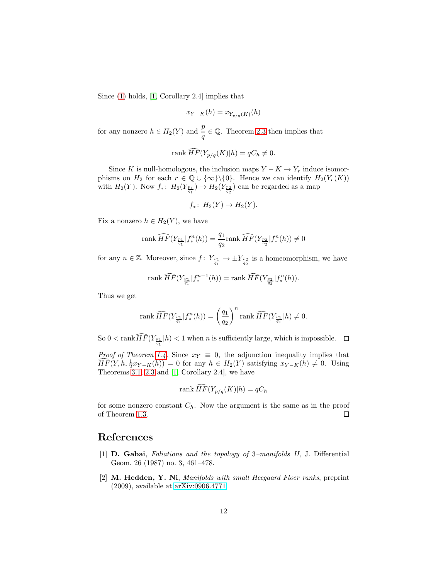Since [\(1\)](#page-1-0) holds, [\[1,](#page-11-1) Corollary 2.4] implies that

$$
x_{Y-K}(h) = x_{Y_{p/q}(K)}(h)
$$

for any nonzero  $h \in H_2(Y)$  and  $\frac{p}{q} \in \mathbb{Q}$ . Theorem [2.3](#page-2-1) then implies that

$$
rank \widehat{HF}(Y_{p/q}(K)|h) = qC_h \neq 0.
$$

Since K is null-homologous, the inclusion maps  $Y - K \to Y_r$  induce isomorphisms on  $H_2$  for each  $r \in \mathbb{Q} \cup {\infty} \setminus {\{0\}}$ . Hence we can identify  $H_2(Y_r(K))$ with  $H_2(Y)$ . Now  $f_*\colon H_2(Y_{\frac{p_1}{q_1}}) \to H_2(Y_{\frac{p_2}{q_2}})$  can be regarded as a map

$$
f_*\colon H_2(Y)\to H_2(Y).
$$

Fix a nonzero  $h \in H_2(Y)$ , we have

rank 
$$
\widehat{HF}(Y_{\frac{p_1}{q_1}} | f_*^n(h)) = \frac{q_1}{q_2}
$$
rank  $\widehat{HF}(Y_{\frac{p_2}{q_2}} | f_*^n(h)) \neq 0$ 

for any  $n \in \mathbb{Z}$ . Moreover, since  $f: Y_{\frac{p_1}{q_1}} \to \pm Y_{\frac{p_2}{q_2}}$  is a homeomorphism, we have

rank 
$$
\widehat{HF}(Y_{\frac{p_1}{q_1}}|f_*^{n-1}(h)) = \text{rank }\widehat{HF}(Y_{\frac{p_2}{q_2}}|f_*^{n}(h)).
$$

Thus we get

rank 
$$
\widehat{HF}(Y_{\frac{p_1}{q_1}}|f_*^n(h)) = \left(\frac{q_1}{q_2}\right)^n
$$
 rank  $\widehat{HF}(Y_{\frac{p_1}{q_1}}|h) \neq 0$ .

So  $0 < \text{rank}\, HF(Y_{\frac{p_1}{q_1}} | h) < 1$  when *n* is sufficiently large, which is impossible.

*Proof of Theorem [1.4.](#page-1-1)* Since  $x_Y \equiv 0$ , the adjunction inequality implies that  $\widehat{HF}(Y, h, \frac{1}{2}x_{Y-K}(h)) = 0$  for any  $h \in H_2(Y)$  satisfying  $x_{Y-K}(h) \neq 0$ . Using Theorems [3.1,](#page-2-0) [2.3](#page-2-1) and [\[1,](#page-11-1) Corollary 2.4], we have

$$
\operatorname{rank} \widehat{HF}(Y_{p/q}(K)|h) = qC_h
$$

for some nonzero constant  $C_h$ . Now the argument is the same as in the proof of Theorem [1.3.](#page-0-0)  $\Box$ 

#### <span id="page-11-1"></span>References

- [1] D. Gabai, Foliations and the topology of 3–manifolds II, J. Differential Geom. 26 (1987) no. 3, 461–478.
- <span id="page-11-0"></span>[2] M. Hedden, Y. Ni, Manifolds with small Heegaard Floer ranks, preprint (2009), available at [arXiv:0906.4771.](http://arxiv.org/abs/0906.4771)